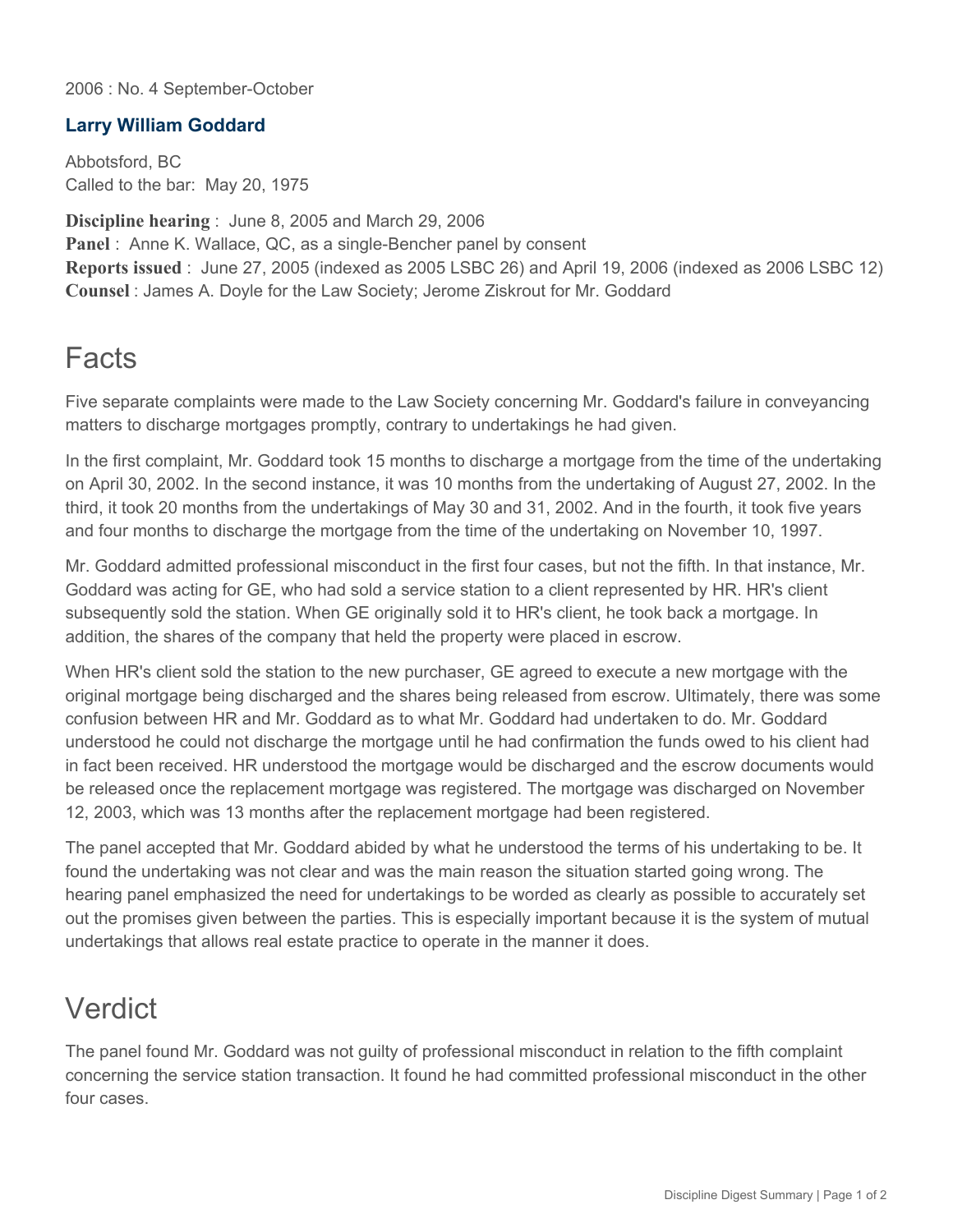2006 : No. 4 September-October

## **Larry William Goddard**

Abbotsford, BC Called to the bar: May 20, 1975

**Discipline hearing** : June 8, 2005 and March 29, 2006 Panel : Anne K. Wallace, QC, as a single-Bencher panel by consent **Reports issued** : June 27, 2005 (indexed as 2005 LSBC 26) and April 19, 2006 (indexed as 2006 LSBC 12) **Counsel** : James A. Doyle for the Law Society; Jerome Ziskrout for Mr. Goddard

## **Facts**

Five separate complaints were made to the Law Society concerning Mr. Goddard's failure in conveyancing matters to discharge mortgages promptly, contrary to undertakings he had given.

In the first complaint, Mr. Goddard took 15 months to discharge a mortgage from the time of the undertaking on April 30, 2002. In the second instance, it was 10 months from the undertaking of August 27, 2002. In the third, it took 20 months from the undertakings of May 30 and 31, 2002. And in the fourth, it took five years and four months to discharge the mortgage from the time of the undertaking on November 10, 1997.

Mr. Goddard admitted professional misconduct in the first four cases, but not the fifth. In that instance, Mr. Goddard was acting for GE, who had sold a service station to a client represented by HR. HR's client subsequently sold the station. When GE originally sold it to HR's client, he took back a mortgage. In addition, the shares of the company that held the property were placed in escrow.

When HR's client sold the station to the new purchaser, GE agreed to execute a new mortgage with the original mortgage being discharged and the shares being released from escrow. Ultimately, there was some confusion between HR and Mr. Goddard as to what Mr. Goddard had undertaken to do. Mr. Goddard understood he could not discharge the mortgage until he had confirmation the funds owed to his client had in fact been received. HR understood the mortgage would be discharged and the escrow documents would be released once the replacement mortgage was registered. The mortgage was discharged on November 12, 2003, which was 13 months after the replacement mortgage had been registered.

The panel accepted that Mr. Goddard abided by what he understood the terms of his undertaking to be. It found the undertaking was not clear and was the main reason the situation started going wrong. The hearing panel emphasized the need for undertakings to be worded as clearly as possible to accurately set out the promises given between the parties. This is especially important because it is the system of mutual undertakings that allows real estate practice to operate in the manner it does.

## Verdict

The panel found Mr. Goddard was not guilty of professional misconduct in relation to the fifth complaint concerning the service station transaction. It found he had committed professional misconduct in the other four cases.